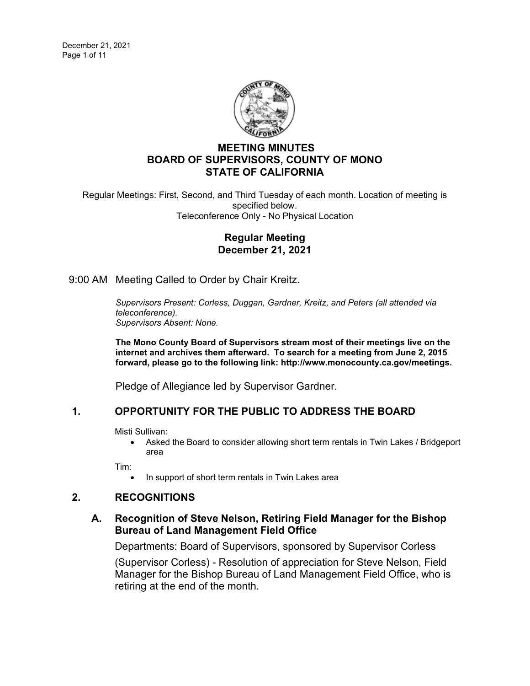

# **MEETING MINUTES BOARD OF SUPERVISORS, COUNTY OF MONO STATE OF CALIFORNIA**

Regular Meetings: First, Second, and Third Tuesday of each month. Location of meeting is specified below. Teleconference Only - No Physical Location

## **Regular Meeting December 21, 2021**

9:00 AM Meeting Called to Order by Chair Kreitz.

*Supervisors Present: Corless, Duggan, Gardner, Kreitz, and Peters (all attended via teleconference). Supervisors Absent: None.*

**The Mono County Board of Supervisors stream most of their meetings live on the internet and archives them afterward. To search for a meeting from June 2, 2015 forward, please go to the following link: [http://www.monocounty.ca.gov/meetings.](http://www.monocounty.ca.gov/meetings)**

Pledge of Allegiance led by Supervisor Gardner.

# **1. OPPORTUNITY FOR THE PUBLIC TO ADDRESS THE BOARD**

Misti Sullivan:

• Asked the Board to consider allowing short term rentals in Twin Lakes / Bridgeport area

Tim:

In support of short term rentals in Twin Lakes area

# **2. RECOGNITIONS**

## **A. [Recognition of Steve Nelson, Retiring Field Manager for the Bishop](https://agenda.mono.ca.gov/AgendaWeb/CoverSheet.aspx?ItemID=13802&MeetingID=813)  [Bureau of Land Management Field Office](https://agenda.mono.ca.gov/AgendaWeb/CoverSheet.aspx?ItemID=13802&MeetingID=813)**

Departments: Board of Supervisors, sponsored by Supervisor Corless

(Supervisor Corless) - Resolution of appreciation for Steve Nelson, Field Manager for the Bishop Bureau of Land Management Field Office, who is retiring at the end of the month.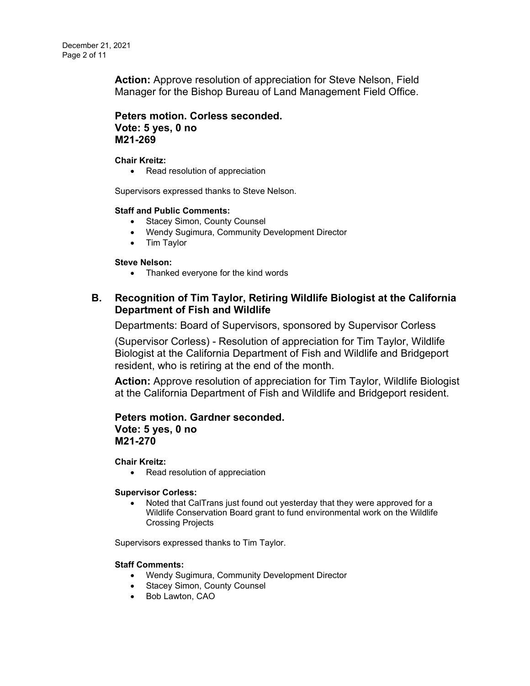**Action:** Approve resolution of appreciation for Steve Nelson, Field Manager for the Bishop Bureau of Land Management Field Office.

**Peters motion. Corless seconded. Vote: 5 yes, 0 no M21-269**

#### **Chair Kreitz:**

• Read resolution of appreciation

Supervisors expressed thanks to Steve Nelson.

### **Staff and Public Comments:**

- Stacey Simon, County Counsel
- Wendy Sugimura, Community Development Director
- Tim Taylor

### **Steve Nelson:**

• Thanked everyone for the kind words

# **B. [Recognition of Tim Taylor, Retiring Wildlife Biologist at the California](https://agenda.mono.ca.gov/AgendaWeb/CoverSheet.aspx?ItemID=13803&MeetingID=813)  [Department of Fish and Wildlife](https://agenda.mono.ca.gov/AgendaWeb/CoverSheet.aspx?ItemID=13803&MeetingID=813)**

Departments: Board of Supervisors, sponsored by Supervisor Corless

(Supervisor Corless) - Resolution of appreciation for Tim Taylor, Wildlife Biologist at the California Department of Fish and Wildlife and Bridgeport resident, who is retiring at the end of the month.

**Action:** Approve resolution of appreciation for Tim Taylor, Wildlife Biologist at the California Department of Fish and Wildlife and Bridgeport resident.

## **Peters motion. Gardner seconded. Vote: 5 yes, 0 no M21-270**

**Chair Kreitz:**

• Read resolution of appreciation

#### **Supervisor Corless:**

• Noted that CalTrans just found out yesterday that they were approved for a Wildlife Conservation Board grant to fund environmental work on the Wildlife Crossing Projects

Supervisors expressed thanks to Tim Taylor.

#### **Staff Comments:**

- Wendy Sugimura, Community Development Director
- Stacey Simon, County Counsel
- Bob Lawton, CAO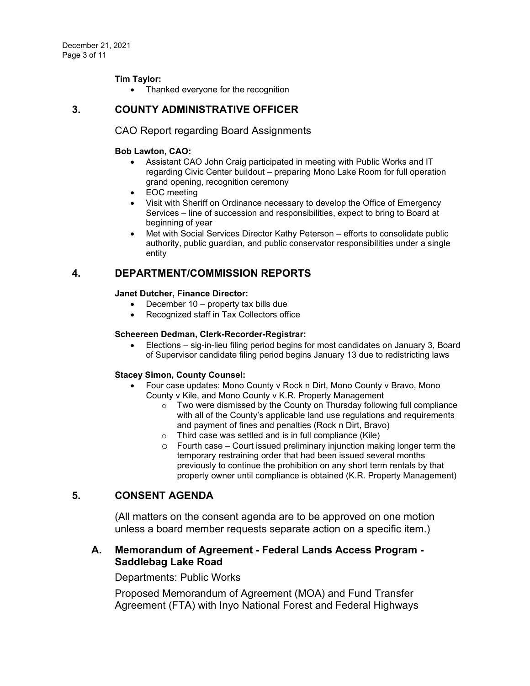### **Tim Taylor:**

• Thanked everyone for the recognition

### **3. COUNTY ADMINISTRATIVE OFFICER**

### CAO Report regarding Board Assignments

### **Bob Lawton, CAO:**

- Assistant CAO John Craig participated in meeting with Public Works and IT regarding Civic Center buildout – preparing Mono Lake Room for full operation grand opening, recognition ceremony
- EOC meeting
- Visit with Sheriff on Ordinance necessary to develop the Office of Emergency Services – line of succession and responsibilities, expect to bring to Board at beginning of year
- Met with Social Services Director Kathy Peterson efforts to consolidate public authority, public guardian, and public conservator responsibilities under a single entity

# **4. DEPARTMENT/COMMISSION REPORTS**

### **Janet Dutcher, Finance Director:**

- December 10 property tax bills due
- Recognized staff in Tax Collectors office

### **Scheereen Dedman, Clerk-Recorder-Registrar:**

• Elections – sig-in-lieu filing period begins for most candidates on January 3, Board of Supervisor candidate filing period begins January 13 due to redistricting laws

### **Stacey Simon, County Counsel:**

- Four case updates: Mono County v Rock n Dirt, Mono County v Bravo, Mono County v Kile, and Mono County v K.R. Property Management
	- $\circ$  Two were dismissed by the County on Thursday following full compliance with all of the County's applicable land use regulations and requirements and payment of fines and penalties (Rock n Dirt, Bravo)
	- o Third case was settled and is in full compliance (Kile)
	- $\circ$  Fourth case Court issued preliminary injunction making longer term the temporary restraining order that had been issued several months previously to continue the prohibition on any short term rentals by that property owner until compliance is obtained (K.R. Property Management)

### **5. CONSENT AGENDA**

(All matters on the consent agenda are to be approved on one motion unless a board member requests separate action on a specific item.)

## **A. Memorandum of Agreement - [Federal Lands Access Program -](https://agenda.mono.ca.gov/AgendaWeb/CoverSheet.aspx?ItemID=13797&MeetingID=813) [Saddlebag Lake Road](https://agenda.mono.ca.gov/AgendaWeb/CoverSheet.aspx?ItemID=13797&MeetingID=813)**

Departments: Public Works

Proposed Memorandum of Agreement (MOA) and Fund Transfer Agreement (FTA) with Inyo National Forest and Federal Highways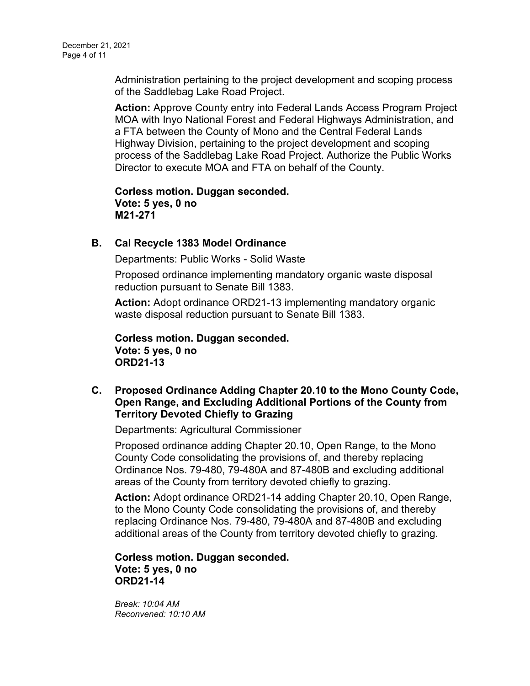Administration pertaining to the project development and scoping process of the Saddlebag Lake Road Project.

**Action:** Approve County entry into Federal Lands Access Program Project MOA with Inyo National Forest and Federal Highways Administration, and a FTA between the County of Mono and the Central Federal Lands Highway Division, pertaining to the project development and scoping process of the Saddlebag Lake Road Project. Authorize the Public Works Director to execute MOA and FTA on behalf of the County.

**Corless motion. Duggan seconded. Vote: 5 yes, 0 no M21-271**

## **B. [Cal Recycle 1383 Model Ordinance](https://agenda.mono.ca.gov/AgendaWeb/CoverSheet.aspx?ItemID=13835&MeetingID=813)**

Departments: Public Works - Solid Waste

Proposed ordinance implementing mandatory organic waste disposal reduction pursuant to Senate Bill 1383.

**Action:** Adopt ordinance ORD21-13 implementing mandatory organic waste disposal reduction pursuant to Senate Bill 1383.

**Corless motion. Duggan seconded. Vote: 5 yes, 0 no ORD21-13**

**C. [Proposed Ordinance Adding Chapter 20.10 to the Mono County Code,](https://agenda.mono.ca.gov/AgendaWeb/CoverSheet.aspx?ItemID=13836&MeetingID=813)  [Open Range, and Excluding Additional Portions of the County from](https://agenda.mono.ca.gov/AgendaWeb/CoverSheet.aspx?ItemID=13836&MeetingID=813)  [Territory Devoted Chiefly to Grazing](https://agenda.mono.ca.gov/AgendaWeb/CoverSheet.aspx?ItemID=13836&MeetingID=813)**

Departments: Agricultural Commissioner

Proposed ordinance adding Chapter 20.10, Open Range, to the Mono County Code consolidating the provisions of, and thereby replacing Ordinance Nos. 79-480, 79-480A and 87-480B and excluding additional areas of the County from territory devoted chiefly to grazing.

**Action:** Adopt ordinance ORD21-14 adding Chapter 20.10, Open Range, to the Mono County Code consolidating the provisions of, and thereby replacing Ordinance Nos. 79-480, 79-480A and 87-480B and excluding additional areas of the County from territory devoted chiefly to grazing.

**Corless motion. Duggan seconded. Vote: 5 yes, 0 no ORD21-14**

*Break: 10:04 AM Reconvened: 10:10 AM*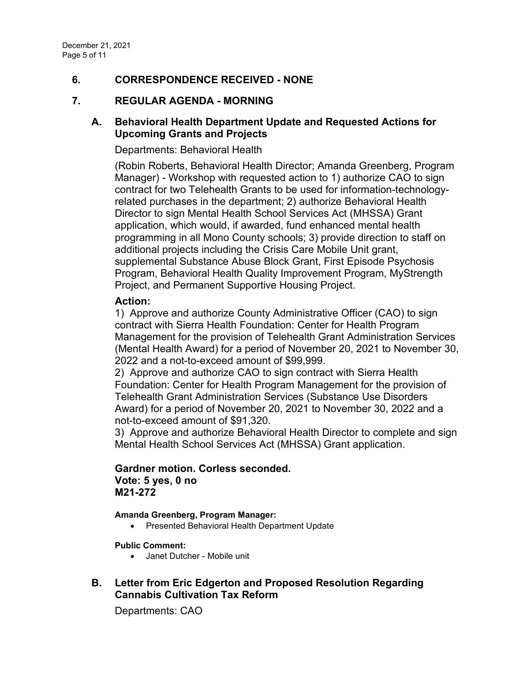# **6. CORRESPONDENCE RECEIVED - NONE**

# **7. REGULAR AGENDA - MORNING**

# **A. [Behavioral Health Department Update and Requested Actions for](https://agenda.mono.ca.gov/AgendaWeb/CoverSheet.aspx?ItemID=13705&MeetingID=813)  [Upcoming Grants and Projects](https://agenda.mono.ca.gov/AgendaWeb/CoverSheet.aspx?ItemID=13705&MeetingID=813)**

### Departments: Behavioral Health

(Robin Roberts, Behavioral Health Director; Amanda Greenberg, Program Manager) - Workshop with requested action to 1) authorize CAO to sign contract for two Telehealth Grants to be used for information-technologyrelated purchases in the department; 2) authorize Behavioral Health Director to sign Mental Health School Services Act (MHSSA) Grant application, which would, if awarded, fund enhanced mental health programming in all Mono County schools; 3) provide direction to staff on additional projects including the Crisis Care Mobile Unit grant, supplemental Substance Abuse Block Grant, First Episode Psychosis Program, Behavioral Health Quality Improvement Program, MyStrength Project, and Permanent Supportive Housing Project.

### **Action:**

1) Approve and authorize County Administrative Officer (CAO) to sign contract with Sierra Health Foundation: Center for Health Program Management for the provision of Telehealth Grant Administration Services (Mental Health Award) for a period of November 20, 2021 to November 30, 2022 and a not-to-exceed amount of \$99,999.

2) Approve and authorize CAO to sign contract with Sierra Health Foundation: Center for Health Program Management for the provision of Telehealth Grant Administration Services (Substance Use Disorders Award) for a period of November 20, 2021 to November 30, 2022 and a not-to-exceed amount of \$91,320.

3) Approve and authorize Behavioral Health Director to complete and sign Mental Health School Services Act (MHSSA) Grant application.

## **Gardner motion. Corless seconded. Vote: 5 yes, 0 no M21-272**

### **Amanda Greenberg, Program Manager:**

• Presented Behavioral Health Department Update

**Public Comment:**

• Janet Dutcher - Mobile unit

# **B. [Letter from Eric Edgerton and Proposed Resolution Regarding](https://agenda.mono.ca.gov/AgendaWeb/CoverSheet.aspx?ItemID=13817&MeetingID=813)  [Cannabis Cultivation Tax Reform](https://agenda.mono.ca.gov/AgendaWeb/CoverSheet.aspx?ItemID=13817&MeetingID=813)**

Departments: CAO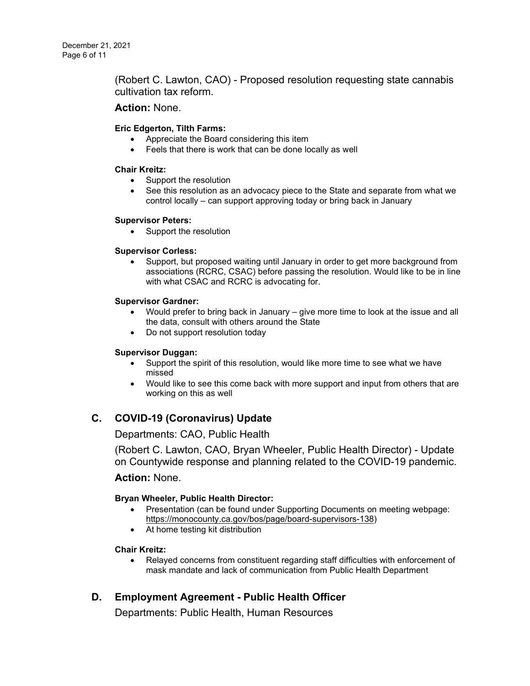(Robert C. Lawton, CAO) - Proposed resolution requesting state cannabis cultivation tax reform.

## **Action:** None.

### **Eric Edgerton, Tilth Farms:**

- Appreciate the Board considering this item
- Feels that there is work that can be done locally as well

### **Chair Kreitz:**

- Support the resolution
- See this resolution as an advocacy piece to the State and separate from what we control locally – can support approving today or bring back in January

### **Supervisor Peters:**

• Support the resolution

### **Supervisor Corless:**

• Support, but proposed waiting until January in order to get more background from associations (RCRC, CSAC) before passing the resolution. Would like to be in line with what CSAC and RCRC is advocating for.

### **Supervisor Gardner:**

- Would prefer to bring back in January give more time to look at the issue and all the data, consult with others around the State
- Do not support resolution today

### **Supervisor Duggan:**

- Support the spirit of this resolution, would like more time to see what we have missed
- Would like to see this come back with more support and input from others that are working on this as well

# **C. [COVID-19 \(Coronavirus\) Update](https://agenda.mono.ca.gov/AgendaWeb/CoverSheet.aspx?ItemID=13769&MeetingID=813)**

Departments: CAO, Public Health

(Robert C. Lawton, CAO, Bryan Wheeler, Public Health Director) - Update on Countywide response and planning related to the COVID-19 pandemic.

### **Action:** None.

### **Bryan Wheeler, Public Health Director:**

- Presentation (can be found under Supporting Documents on meeting webpage: [https://monocounty.ca.gov/bos/page/board-supervisors-138\)](https://monocounty.ca.gov/bos/page/board-supervisors-138)
- At home testing kit distribution

### **Chair Kreitz:**

• Relayed concerns from constituent regarding staff difficulties with enforcement of mask mandate and lack of communication from Public Health Department

# **D. [Employment Agreement -](https://agenda.mono.ca.gov/AgendaWeb/CoverSheet.aspx?ItemID=13798&MeetingID=813) Public Health Officer**

Departments: Public Health, Human Resources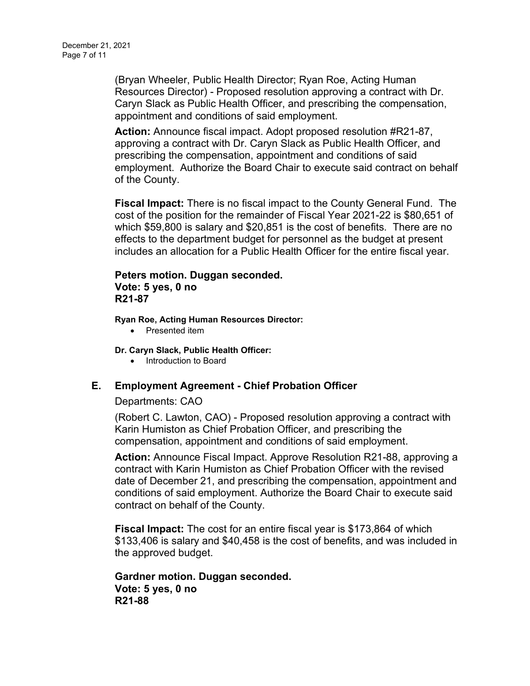(Bryan Wheeler, Public Health Director; Ryan Roe, Acting Human Resources Director) - Proposed resolution approving a contract with Dr. Caryn Slack as Public Health Officer, and prescribing the compensation, appointment and conditions of said employment.

**Action:** Announce fiscal impact. Adopt proposed resolution #R21-87, approving a contract with Dr. Caryn Slack as Public Health Officer, and prescribing the compensation, appointment and conditions of said employment. Authorize the Board Chair to execute said contract on behalf of the County.

**Fiscal Impact:** There is no fiscal impact to the County General Fund. The cost of the position for the remainder of Fiscal Year 2021-22 is \$80,651 of which \$59,800 is salary and \$20,851 is the cost of benefits. There are no effects to the department budget for personnel as the budget at present includes an allocation for a Public Health Officer for the entire fiscal year.

## **Peters motion. Duggan seconded. Vote: 5 yes, 0 no R21-87**

**Ryan Roe, Acting Human Resources Director:**

• Presented item

**Dr. Caryn Slack, Public Health Officer:**

• Introduction to Board

# **E. [Employment Agreement -](https://agenda.mono.ca.gov/AgendaWeb/CoverSheet.aspx?ItemID=13780&MeetingID=813) Chief Probation Officer**

### Departments: CAO

(Robert C. Lawton, CAO) - Proposed resolution approving a contract with Karin Humiston as Chief Probation Officer, and prescribing the compensation, appointment and conditions of said employment.

**Action:** Announce Fiscal Impact. Approve Resolution R21-88, approving a contract with Karin Humiston as Chief Probation Officer with the revised date of December 21, and prescribing the compensation, appointment and conditions of said employment. Authorize the Board Chair to execute said contract on behalf of the County.

**Fiscal Impact:** The cost for an entire fiscal year is \$173,864 of which \$133,406 is salary and \$40,458 is the cost of benefits, and was included in the approved budget.

**Gardner motion. Duggan seconded. Vote: 5 yes, 0 no R21-88**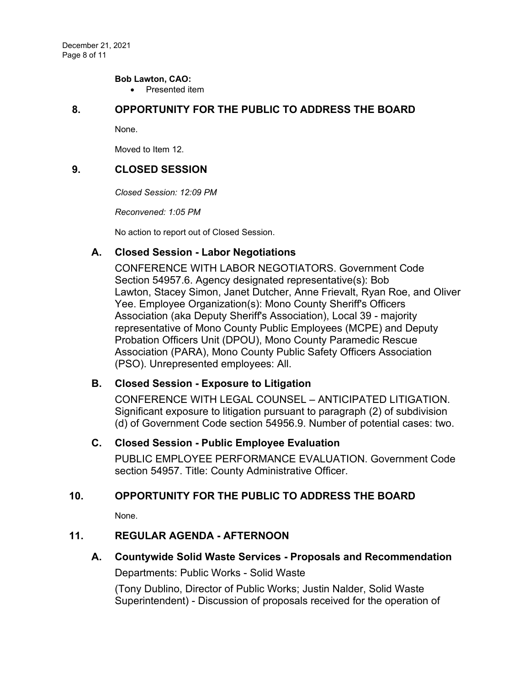### **Bob Lawton, CAO:**

• Presented item

## **8. OPPORTUNITY FOR THE PUBLIC TO ADDRESS THE BOARD**

None.

Moved to Item 12.

## **9. CLOSED SESSION**

*Closed Session: 12:09 PM* 

*Reconvened: 1:05 PM*

No action to report out of Closed Session.

# **A. Closed Session - [Labor Negotiations](https://agenda.mono.ca.gov/AgendaWeb/CoverSheet.aspx?ItemID=13768&MeetingID=813)**

CONFERENCE WITH LABOR NEGOTIATORS. Government Code Section 54957.6. Agency designated representative(s): Bob Lawton, Stacey Simon, Janet Dutcher, Anne Frievalt, Ryan Roe, and Oliver Yee. Employee Organization(s): Mono County Sheriff's Officers Association (aka Deputy Sheriff's Association), Local 39 - majority representative of Mono County Public Employees (MCPE) and Deputy Probation Officers Unit (DPOU), Mono County Paramedic Rescue Association (PARA), Mono County Public Safety Officers Association (PSO). Unrepresented employees: All.

# **B. Closed Session - [Exposure to Litigation](https://agenda.mono.ca.gov/AgendaWeb/CoverSheet.aspx?ItemID=13837&MeetingID=813)**

CONFERENCE WITH LEGAL COUNSEL – ANTICIPATED LITIGATION. Significant exposure to litigation pursuant to paragraph (2) of subdivision (d) of Government Code section 54956.9. Number of potential cases: two.

# **C. Closed Session - [Public Employee Evaluation](https://agenda.mono.ca.gov/AgendaWeb/CoverSheet.aspx?ItemID=13390&MeetingID=813)**

PUBLIC EMPLOYEE PERFORMANCE EVALUATION. Government Code section 54957. Title: County Administrative Officer.

# **10. OPPORTUNITY FOR THE PUBLIC TO ADDRESS THE BOARD**

None.

# **11. REGULAR AGENDA - AFTERNOON**

**A. [Countywide Solid Waste Services -](https://agenda.mono.ca.gov/AgendaWeb/CoverSheet.aspx?ItemID=13602&MeetingID=813) Proposals and Recommendation**

Departments: Public Works - Solid Waste

(Tony Dublino, Director of Public Works; Justin Nalder, Solid Waste Superintendent) - Discussion of proposals received for the operation of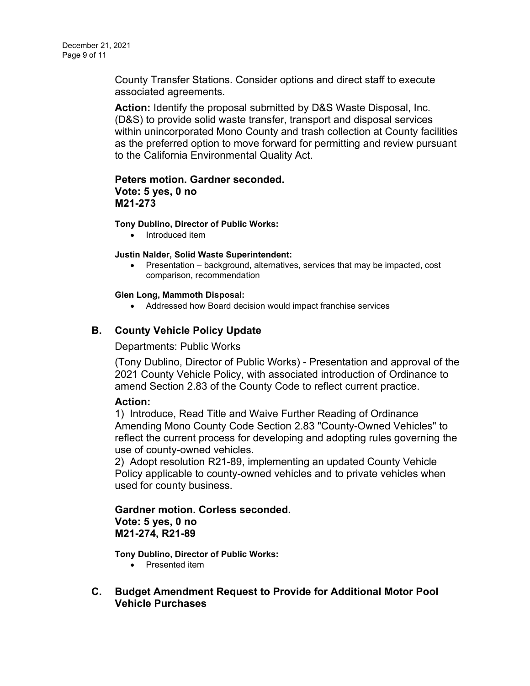County Transfer Stations. Consider options and direct staff to execute associated agreements.

**Action:** Identify the proposal submitted by D&S Waste Disposal, Inc. (D&S) to provide solid waste transfer, transport and disposal services within unincorporated Mono County and trash collection at County facilities as the preferred option to move forward for permitting and review pursuant to the California Environmental Quality Act.

### **Peters motion. Gardner seconded. Vote: 5 yes, 0 no M21-273**

### **Tony Dublino, Director of Public Works:**

• Introduced item

### **Justin Nalder, Solid Waste Superintendent:**

• Presentation – background, alternatives, services that may be impacted, cost comparison, recommendation

### **Glen Long, Mammoth Disposal:**

• Addressed how Board decision would impact franchise services

# **B. [County Vehicle Policy Update](https://agenda.mono.ca.gov/AgendaWeb/CoverSheet.aspx?ItemID=13498&MeetingID=813)**

Departments: Public Works

(Tony Dublino, Director of Public Works) - Presentation and approval of the 2021 County Vehicle Policy, with associated introduction of Ordinance to amend Section 2.83 of the County Code to reflect current practice.

### **Action:**

1) Introduce, Read Title and Waive Further Reading of Ordinance Amending Mono County Code Section 2.83 "County-Owned Vehicles" to reflect the current process for developing and adopting rules governing the use of county-owned vehicles.

2) Adopt resolution R21-89, implementing an updated County Vehicle Policy applicable to county-owned vehicles and to private vehicles when used for county business.

# **Gardner motion. Corless seconded. Vote: 5 yes, 0 no M21-274, R21-89**

**Tony Dublino, Director of Public Works:**

- Presented item
- **C. [Budget Amendment Request to Provide for Additional Motor Pool](https://agenda.mono.ca.gov/AgendaWeb/CoverSheet.aspx?ItemID=13806&MeetingID=813)  [Vehicle Purchases](https://agenda.mono.ca.gov/AgendaWeb/CoverSheet.aspx?ItemID=13806&MeetingID=813)**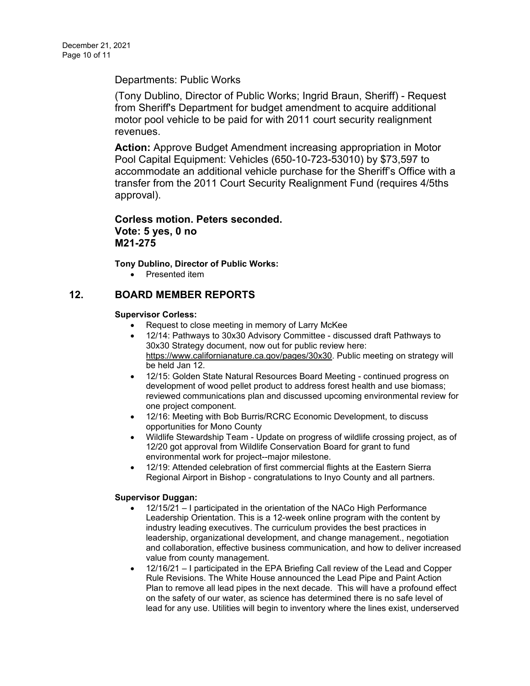Departments: Public Works

(Tony Dublino, Director of Public Works; Ingrid Braun, Sheriff) - Request from Sheriff's Department for budget amendment to acquire additional motor pool vehicle to be paid for with 2011 court security realignment revenues.

**Action:** Approve Budget Amendment increasing appropriation in Motor Pool Capital Equipment: Vehicles (650-10-723-53010) by \$73,597 to accommodate an additional vehicle purchase for the Sheriff's Office with a transfer from the 2011 Court Security Realignment Fund (requires 4/5ths approval).

**Corless motion. Peters seconded. Vote: 5 yes, 0 no M21-275**

**Tony Dublino, Director of Public Works:**

• Presented item

# **12. BOARD MEMBER REPORTS**

### **Supervisor Corless:**

- Request to close meeting in memory of Larry McKee
- 12/14: Pathways to 30x30 Advisory Committee discussed draft Pathways to 30x30 Strategy document, now out for public review here: [https://www.californianature.ca.gov/pages/30x30.](https://www.californianature.ca.gov/pages/30x30) Public meeting on strategy will be held Jan 12.
- 12/15: Golden State Natural Resources Board Meeting continued progress on development of wood pellet product to address forest health and use biomass; reviewed communications plan and discussed upcoming environmental review for one project component.
- 12/16: Meeting with Bob Burris/RCRC Economic Development, to discuss opportunities for Mono County
- Wildlife Stewardship Team Update on progress of wildlife crossing project, as of 12/20 got approval from Wildlife Conservation Board for grant to fund environmental work for project--major milestone.
- 12/19: Attended celebration of first commercial flights at the Eastern Sierra Regional Airport in Bishop - congratulations to Inyo County and all partners.

### **Supervisor Duggan:**

- 12/15/21 I participated in the orientation of the NACo High Performance Leadership Orientation. This is a 12-week online program with the content by industry leading executives. The curriculum provides the best practices in leadership, organizational development, and change management., negotiation and collaboration, effective business communication, and how to deliver increased value from county management.
- 12/16/21 I participated in the EPA Briefing Call review of the Lead and Copper Rule Revisions. The White House announced the Lead Pipe and Paint Action Plan to remove all lead pipes in the next decade. This will have a profound effect on the safety of our water, as science has determined there is no safe level of lead for any use. Utilities will begin to inventory where the lines exist, underserved